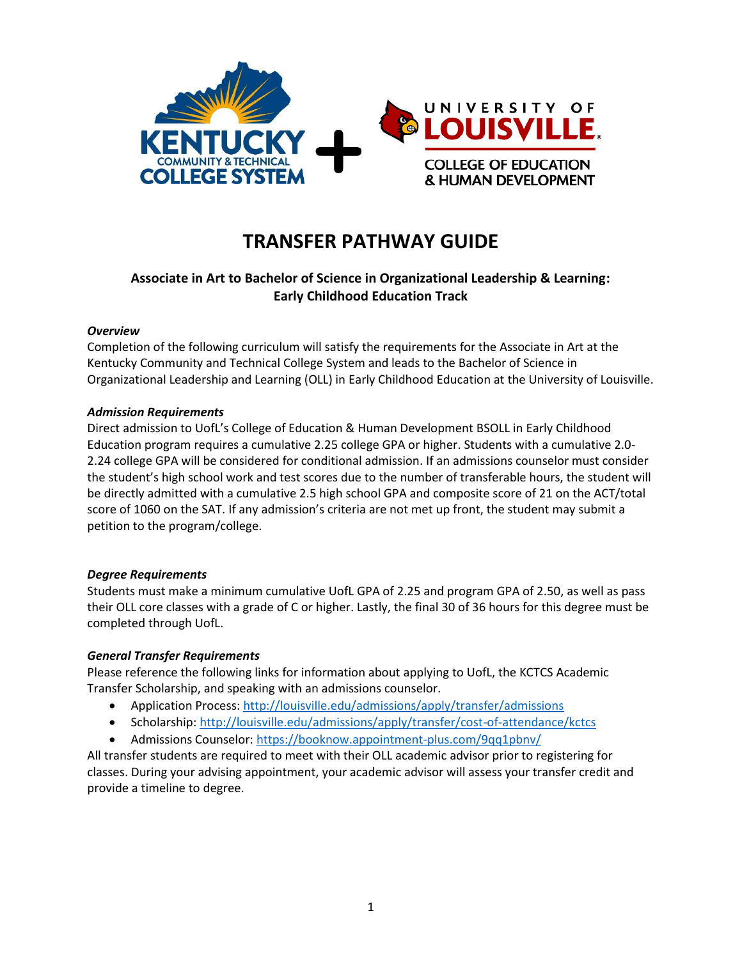

# **TRANSFER PATHWAY GUIDE**

# **Associate in Art to Bachelor of Science in Organizational Leadership & Learning: Early Childhood Education Track**

## *Overview*

Completion of the following curriculum will satisfy the requirements for the Associate in Art at the Kentucky Community and Technical College System and leads to the Bachelor of Science in Organizational Leadership and Learning (OLL) in Early Childhood Education at the University of Louisville.

## *Admission Requirements*

Direct admission to UofL's College of Education & Human Development BSOLL in Early Childhood Education program requires a cumulative 2.25 college GPA or higher. Students with a cumulative 2.0- 2.24 college GPA will be considered for conditional admission. If an admissions counselor must consider the student's high school work and test scores due to the number of transferable hours, the student will be directly admitted with a cumulative 2.5 high school GPA and composite score of 21 on the ACT/total score of 1060 on the SAT. If any admission's criteria are not met up front, the student may submit a petition to the program/college.

## *Degree Requirements*

Students must make a minimum cumulative UofL GPA of 2.25 and program GPA of 2.50, as well as pass their OLL core classes with a grade of C or higher. Lastly, the final 30 of 36 hours for this degree must be completed through UofL.

## *General Transfer Requirements*

Please reference the following links for information about applying to UofL, the KCTCS Academic Transfer Scholarship, and speaking with an admissions counselor.

- Application Process[: http://louisville.edu/admissions/apply/transfer/admissions](http://louisville.edu/admissions/apply/transfer/admissions)
- Scholarship[: http://louisville.edu/admissions/apply/transfer/cost-of-attendance/kctcs](http://louisville.edu/admissions/apply/transfer/cost-of-attendance/kctcs)
- Admissions Counselor[: https://booknow.appointment-plus.com/9qq1pbnv/](https://booknow.appointment-plus.com/9qq1pbnv/)

All transfer students are required to meet with their OLL academic advisor prior to registering for classes. During your advising appointment, your academic advisor will assess your transfer credit and provide a timeline to degree.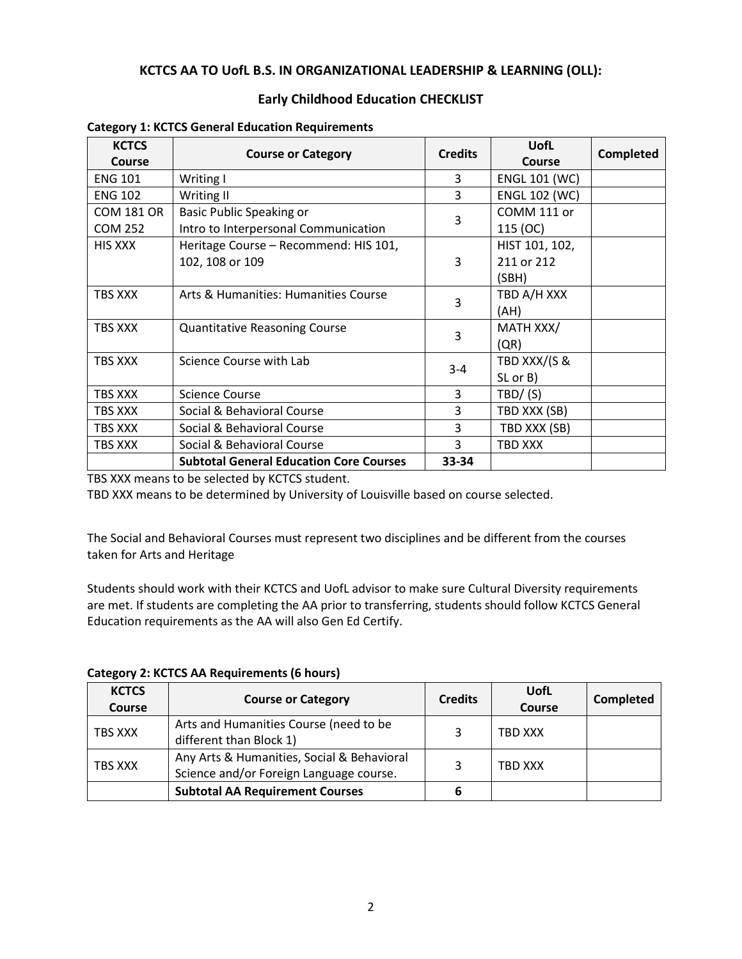# **KCTCS AA TO UofL B.S. IN ORGANIZATIONAL LEADERSHIP & LEARNING (OLL):**

# **Early Childhood Education CHECKLIST**

| <b>KCTCS</b><br>Course | <b>Course or Category</b>                      | <b>Credits</b> | <b>UofL</b><br>Course | Completed |
|------------------------|------------------------------------------------|----------------|-----------------------|-----------|
| <b>ENG 101</b>         | Writing I                                      | 3              | <b>ENGL 101 (WC)</b>  |           |
| <b>ENG 102</b>         | Writing II                                     | 3              | <b>ENGL 102 (WC)</b>  |           |
| <b>COM 181 OR</b>      | <b>Basic Public Speaking or</b>                | 3              | COMM 111 or           |           |
| <b>COM 252</b>         | Intro to Interpersonal Communication           |                | 115 (OC)              |           |
| <b>HIS XXX</b>         | Heritage Course - Recommend: HIS 101,          |                | HIST 101, 102,        |           |
|                        | 102, 108 or 109                                | 3              | 211 or 212            |           |
|                        |                                                |                | (SBH)                 |           |
| TBS XXX                | Arts & Humanities: Humanities Course           | 3              | TBD A/H XXX           |           |
|                        |                                                |                | (AH)                  |           |
| TBS XXX                | <b>Quantitative Reasoning Course</b>           | 3              | MATH XXX/             |           |
|                        |                                                |                | (QR)                  |           |
| TBS XXX                | Science Course with Lab                        | $3 - 4$        | TBD XXX/(S &          |           |
|                        |                                                |                | SL or B)              |           |
| TBS XXX                | <b>Science Course</b>                          | 3              | TBD/ (S)              |           |
| TBS XXX                | Social & Behavioral Course                     | 3              | TBD XXX (SB)          |           |
| TBS XXX                | Social & Behavioral Course                     | 3              | TBD XXX (SB)          |           |
| TBS XXX                | Social & Behavioral Course                     | 3              | TBD XXX               |           |
|                        | <b>Subtotal General Education Core Courses</b> | 33-34          |                       |           |

#### **Category 1: KCTCS General Education Requirements**

TBS XXX means to be selected by KCTCS student.

TBD XXX means to be determined by University of Louisville based on course selected.

The Social and Behavioral Courses must represent two disciplines and be different from the courses taken for Arts and Heritage

Students should work with their KCTCS and UofL advisor to make sure Cultural Diversity requirements are met. If students are completing the AA prior to transferring, students should follow KCTCS General Education requirements as the AA will also Gen Ed Certify.

**Category 2: KCTCS AA Requirements (6 hours)**

| <b>KCTCS</b><br><b>Course</b> | <b>Course or Category</b>                                                             | <b>Credits</b> | UofL<br><b>Course</b> | Completed |
|-------------------------------|---------------------------------------------------------------------------------------|----------------|-----------------------|-----------|
| TBS XXX                       | Arts and Humanities Course (need to be<br>different than Block 1)                     | 3              | TBD XXX               |           |
| TBS XXX                       | Any Arts & Humanities, Social & Behavioral<br>Science and/or Foreign Language course. | 3              | TBD XXX               |           |
|                               | <b>Subtotal AA Requirement Courses</b>                                                |                |                       |           |